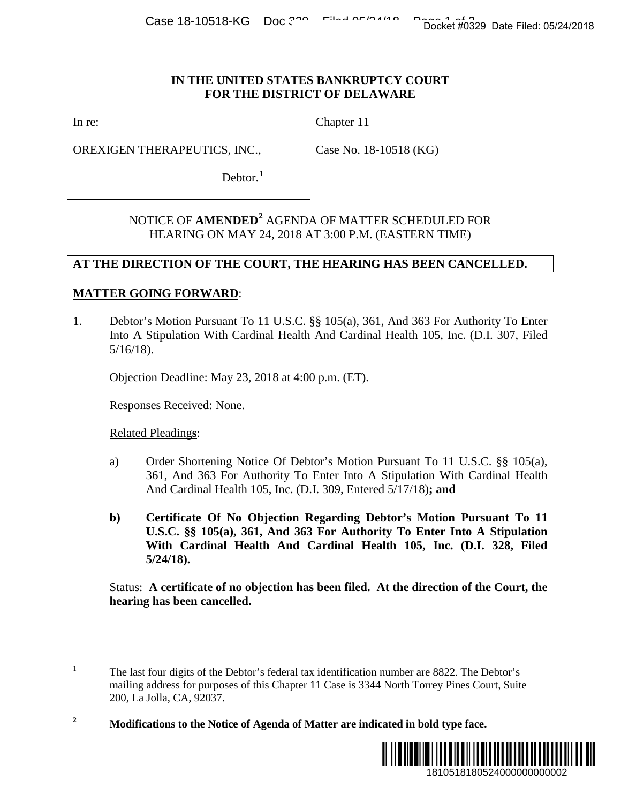#### **IN THE UNITED STATES BANKRUPTCY COURT FOR THE DISTRICT OF DELAWARE**

In re:

OREXIGEN THERAPEUTICS, INC.,

Chapter 11

Case No. 18-10518 (KG)

Debtor. $<sup>1</sup>$  $<sup>1</sup>$  $<sup>1</sup>$ </sup>

# NOTICE OF **AMENDED[2](#page-0-1)** AGENDA OF MATTER SCHEDULED FOR HEARING ON MAY 24, 2018 AT 3:00 P.M. (EASTERN TIME)

### **AT THE DIRECTION OF THE COURT, THE HEARING HAS BEEN CANCELLED.**

## **MATTER GOING FORWARD**:

1. Debtor's Motion Pursuant To 11 U.S.C. §§ 105(a), 361, And 363 For Authority To Enter Into A Stipulation With Cardinal Health And Cardinal Health 105, Inc. (D.I. 307, Filed 5/16/18).

Objection Deadline: May 23, 2018 at 4:00 p.m. (ET).

Responses Received: None.

Related Pleading**s**:

- a) Order Shortening Notice Of Debtor's Motion Pursuant To 11 U.S.C. §§ 105(a), 361, And 363 For Authority To Enter Into A Stipulation With Cardinal Health And Cardinal Health 105, Inc. (D.I. 309, Entered 5/17/18)**; and**
- **b) Certificate Of No Objection Regarding Debtor's Motion Pursuant To 11 U.S.C. §§ 105(a), 361, And 363 For Authority To Enter Into A Stipulation With Cardinal Health And Cardinal Health 105, Inc. (D.I. 328, Filed 5/24/18).** Docket #0329 Date Filed: 05/24/2018<br>
URT<br>
URT<br>
URT<br>
DULED FOR<br>
NOCKELLED.<br>
SEN CANCELLED.<br>
3 For Authority To Enter<br>
105, Inc. (D.I. 307, Filed<br>
105, Inc. (D.I. 307, Filed<br>
1,); and<br>
10tion Pursuant To 11<br>
1 Inter Into A

Status: **A certificate of no objection has been filed. At the direction of the Court, the hearing has been cancelled.** 

<span id="page-0-1"></span>**<sup>2</sup> Modifications to the Notice of Agenda of Matter are indicated in bold type face.**



<span id="page-0-0"></span><sup>&</sup>lt;sup>1</sup> The last four digits of the Debtor's federal tax identification number are 8822. The Debtor's mailing address for purposes of this Chapter 11 Case is 3344 North Torrey Pines Court, Suite 200, La Jolla, CA, 92037.